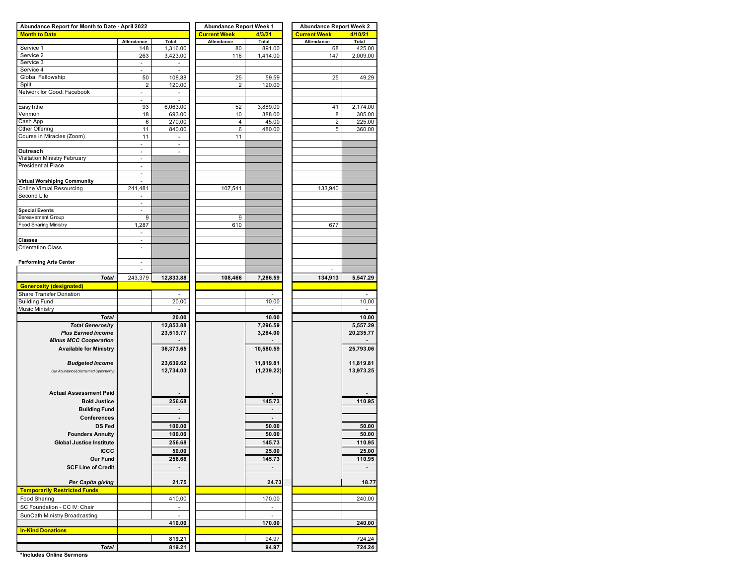| Abundance Report for Month to Date - April 2022 |                             |                          | <b>Abundance Report Week 1</b> |                          | <b>Abundance Report Week 2</b> |                |  |  |  |  |
|-------------------------------------------------|-----------------------------|--------------------------|--------------------------------|--------------------------|--------------------------------|----------------|--|--|--|--|
| <b>Month to Date</b>                            |                             |                          | <b>Current Week</b>            | 4/3/21                   | <b>Current Week</b>            | 4/10/21        |  |  |  |  |
|                                                 | Attendance                  | Total                    | Attendance                     | Total                    | Attendance                     | Total          |  |  |  |  |
| Service 1                                       | 148                         | 1,316.00                 | 80                             | 891.00                   | 68                             | 425.00         |  |  |  |  |
| Service 2                                       | 263                         | 3,423.00                 | 116                            | 1,414.00                 | 147                            | 2,009.00       |  |  |  |  |
| Service 3                                       | ÷,                          |                          |                                |                          |                                |                |  |  |  |  |
| Service 4                                       | ä,                          | $\overline{\phantom{a}}$ |                                |                          |                                |                |  |  |  |  |
| Global Fellowship                               | 50                          | 108.88                   | 25                             | 59.59                    | 25                             | 49.29          |  |  |  |  |
| Split                                           | $\overline{\mathbf{c}}$     | 120.00                   | $\overline{2}$                 | 120.00                   |                                |                |  |  |  |  |
| Network for Good: Facebook                      | ÷,                          |                          |                                |                          |                                |                |  |  |  |  |
|                                                 | ä,                          |                          |                                |                          |                                |                |  |  |  |  |
| EasyTithe                                       | 93                          | 6,063.00                 | 52                             | 3,889.00                 | 41                             | 2,174.00       |  |  |  |  |
| Venmon                                          | 18                          | 693.00                   | 10                             | 388.00                   | 8                              | 305.00         |  |  |  |  |
| Cash App                                        | 6                           | 270.00                   | 4                              | 45.00                    | $\overline{2}$                 | 225.00         |  |  |  |  |
| Other Offering                                  | 11                          | 840.00                   | 6                              | 480.00                   | 5                              | 360.00         |  |  |  |  |
| Course in Miracles (Zoom)                       |                             |                          | 11                             |                          |                                |                |  |  |  |  |
|                                                 | 11                          | $\overline{\phantom{a}}$ |                                |                          |                                |                |  |  |  |  |
|                                                 | ä,                          |                          |                                |                          |                                |                |  |  |  |  |
| Outreach                                        | ÷,                          | ä,                       |                                |                          |                                |                |  |  |  |  |
| Visitation Ministry February                    | ÷,                          |                          |                                |                          |                                |                |  |  |  |  |
| <b>Presidential Place</b>                       | $\mathcal{L}_{\mathcal{A}}$ |                          |                                |                          |                                |                |  |  |  |  |
|                                                 | $\overline{\phantom{a}}$    |                          |                                |                          |                                |                |  |  |  |  |
| Virtual Worshiping Community                    |                             |                          |                                |                          |                                |                |  |  |  |  |
| Online Virtual Resourcing                       | 241,481                     |                          | 107,541                        |                          | 133,940                        |                |  |  |  |  |
| Second Life                                     | $\overline{\phantom{m}}$    |                          |                                |                          |                                |                |  |  |  |  |
|                                                 | $\omega$                    |                          |                                |                          |                                |                |  |  |  |  |
| <b>Special Events</b>                           | $\overline{\phantom{a}}$    |                          |                                |                          |                                |                |  |  |  |  |
| <b>Bereavement Group</b>                        | 9                           |                          | 9                              |                          |                                |                |  |  |  |  |
| <b>Food Sharing Ministry</b>                    | 1,287                       |                          | 610                            |                          | 677                            |                |  |  |  |  |
|                                                 |                             |                          |                                |                          |                                |                |  |  |  |  |
|                                                 | $\overline{\phantom{a}}$    |                          |                                |                          |                                |                |  |  |  |  |
| <b>Classes</b>                                  | $\overline{a}$              |                          |                                |                          |                                |                |  |  |  |  |
| Orientation Class                               | $\blacksquare$              |                          |                                |                          |                                |                |  |  |  |  |
|                                                 |                             |                          |                                |                          |                                |                |  |  |  |  |
| <b>Performing Arts Center</b>                   | ä,                          |                          |                                |                          |                                |                |  |  |  |  |
|                                                 | $\blacksquare$              |                          |                                |                          |                                |                |  |  |  |  |
| <b>Total</b>                                    | 243,379                     | 12,833.88                | 108,466                        | 7,286.59                 | 134,913                        | 5,547.29       |  |  |  |  |
| <b>Generosity (designated)</b>                  |                             |                          |                                |                          |                                |                |  |  |  |  |
| Share Transfer Donation                         |                             |                          |                                |                          |                                |                |  |  |  |  |
|                                                 |                             |                          |                                |                          |                                |                |  |  |  |  |
| <b>Building Fund</b>                            |                             | 20.00                    |                                | 10.00                    |                                | 10.00          |  |  |  |  |
| Music Ministry                                  |                             |                          |                                |                          |                                |                |  |  |  |  |
| <b>Total</b>                                    |                             | 20.00                    |                                | 10.00                    |                                | 10.00          |  |  |  |  |
| <b>Total Generosity</b>                         |                             | 12,853.88                |                                | 7,296.59                 |                                | 5,557.29       |  |  |  |  |
| <b>Plus Earned Income</b>                       |                             | 23,519.77                |                                | 3,284.00                 |                                | 20,235.77      |  |  |  |  |
| <b>Minus MCC Cooperation</b>                    |                             |                          |                                |                          |                                |                |  |  |  |  |
| <b>Available for Ministry</b>                   |                             | 36,373.65                |                                | 10,580.59                |                                | 25,793.06      |  |  |  |  |
|                                                 |                             |                          |                                |                          |                                |                |  |  |  |  |
| <b>Budgeted Income</b>                          |                             | 23,639.62                |                                | 11,819.81                |                                | 11,819.81      |  |  |  |  |
|                                                 |                             | 12,734.03                |                                | (1, 239.22)              |                                | 13,973.25      |  |  |  |  |
| Our Abundance/(Unclaimed Opportunity)           |                             |                          |                                |                          |                                |                |  |  |  |  |
|                                                 |                             |                          |                                |                          |                                |                |  |  |  |  |
|                                                 |                             |                          |                                |                          |                                |                |  |  |  |  |
| <b>Actual Assessment Paid</b>                   |                             |                          |                                |                          |                                |                |  |  |  |  |
| <b>Bold Justice</b>                             |                             | 256.68                   |                                | 145.73                   |                                | 110.95         |  |  |  |  |
| <b>Building Fund</b>                            |                             |                          |                                |                          |                                |                |  |  |  |  |
| Conferences                                     |                             |                          |                                |                          |                                |                |  |  |  |  |
| <b>DS Fed</b>                                   |                             | 100.00                   |                                | 50.00                    |                                | 50.00          |  |  |  |  |
|                                                 |                             |                          |                                |                          |                                |                |  |  |  |  |
| <b>Founders Annuity</b>                         |                             | 100.00                   |                                | 50.00                    |                                | 50.00          |  |  |  |  |
| Global Justice Institute                        |                             | 256.68                   |                                | 145.73                   |                                | 110.95         |  |  |  |  |
| <b>ICCC</b>                                     |                             | 50.00                    |                                | 25.00                    |                                | 25.00          |  |  |  |  |
| Our Fund                                        |                             | 256.68                   |                                | 145.73                   |                                | 110.95         |  |  |  |  |
| <b>SCF Line of Credit</b>                       |                             | $\blacksquare$           |                                | $\blacksquare$           |                                | $\blacksquare$ |  |  |  |  |
|                                                 |                             |                          |                                |                          |                                |                |  |  |  |  |
|                                                 |                             |                          |                                |                          |                                |                |  |  |  |  |
| Per Capita giving                               |                             | 21.75                    |                                | 24.73                    |                                | 18.77          |  |  |  |  |
| <b>Temporarily Restricted Funds</b>             |                             |                          |                                |                          |                                |                |  |  |  |  |
| Food Sharing                                    |                             | 410.00                   |                                | 170.00                   |                                | 240.00         |  |  |  |  |
| SC Foundation - CC IV: Chair                    |                             | $\overline{\phantom{a}}$ |                                | $\overline{\phantom{a}}$ |                                |                |  |  |  |  |
|                                                 |                             | ä,                       |                                | ä,                       |                                |                |  |  |  |  |
| SunCath Ministry Broadcasting                   |                             |                          |                                |                          |                                |                |  |  |  |  |
|                                                 |                             | 410.00                   |                                | 170.00                   |                                | 240.00         |  |  |  |  |
| <b>In-Kind Donations</b>                        |                             |                          |                                |                          |                                |                |  |  |  |  |
|                                                 |                             | 819.21                   |                                | 94.97                    |                                | 724.24         |  |  |  |  |
| <b>Total</b>                                    |                             | 819.21                   |                                | 94.97                    |                                | 724.24         |  |  |  |  |

**\*Includes Online Sermons**